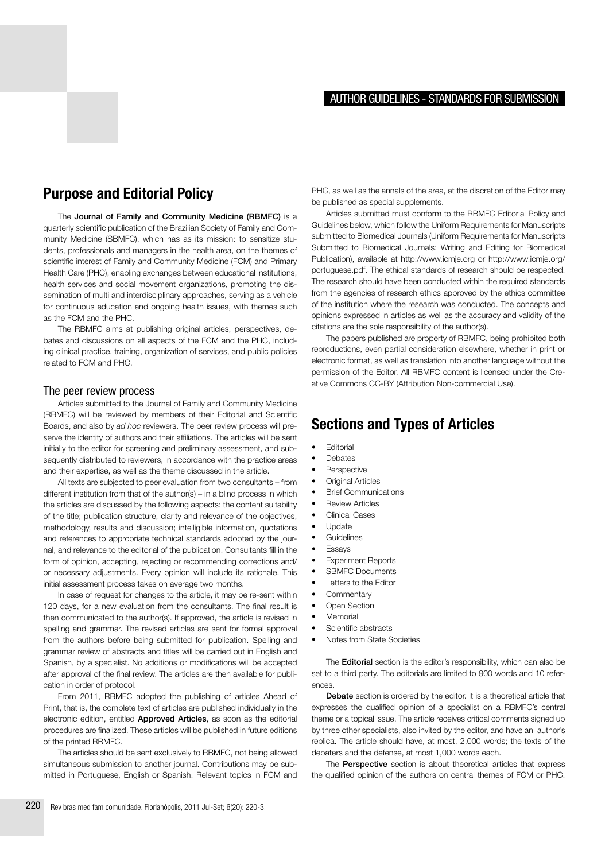### AUTHOR GUIDELINES - STANDARDS FOR SUBMISSION

# **Purpose and Editorial Policy**

The **Journal of Family and Community Medicine (RBMFC)** is a quarterly scientific publication of the Brazilian Society of Family and Community Medicine (SBMFC), which has as its mission: to sensitize students, professionals and managers in the health area, on the themes of scientific interest of Family and Community Medicine (FCM) and Primary Health Care (PHC), enabling exchanges between educational institutions, health services and social movement organizations, promoting the dissemination of multi and interdisciplinary approaches, serving as a vehicle for continuous education and ongoing health issues, with themes such as the FCM and the PHC.

The RBMFC aims at publishing original articles, perspectives, debates and discussions on all aspects of the FCM and the PHC, including clinical practice, training, organization of services, and public policies related to FCM and PHC.

#### The peer review process

Articles submitted to the Journal of Family and Community Medicine (RBMFC) will be reviewed by members of their Editorial and Scientific Boards, and also by ad hoc reviewers. The peer review process will preserve the identity of authors and their affiliations. The articles will be sent initially to the editor for screening and preliminary assessment, and subsequently distributed to reviewers, in accordance with the practice areas and their expertise, as well as the theme discussed in the article.

All texts are subjected to peer evaluation from two consultants – from different institution from that of the author(s) – in a blind process in which the articles are discussed by the following aspects: the content suitability of the title; publication structure, clarity and relevance of the objectives, methodology, results and discussion; intelligible information, quotations and references to appropriate technical standards adopted by the journal, and relevance to the editorial of the publication. Consultants fill in the form of opinion, accepting, rejecting or recommending corrections and/ or necessary adjustments. Every opinion will include its rationale. This initial assessment process takes on average two months.

In case of request for changes to the article, it may be re-sent within 120 days, for a new evaluation from the consultants. The final result is then communicated to the author(s). If approved, the article is revised in spelling and grammar. The revised articles are sent for formal approval from the authors before being submitted for publication. Spelling and grammar review of abstracts and titles will be carried out in English and Spanish, by a specialist. No additions or modifications will be accepted after approval of the final review. The articles are then available for publication in order of protocol.

From 2011, RBMFC adopted the publishing of articles Ahead of Print, that is, the complete text of articles are published individually in the electronic edition, entitled **Approved Articles**, as soon as the editorial procedures are finalized. These articles will be published in future editions of the printed RBMFC.

The articles should be sent exclusively to RBMFC, not being allowed simultaneous submission to another journal. Contributions may be submitted in Portuguese, English or Spanish. Relevant topics in FCM and PHC, as well as the annals of the area, at the discretion of the Editor may be published as special supplements.

Articles submitted must conform to the RBMFC Editorial Policy and Guidelines below, which follow the Uniform Requirements for Manuscripts submitted to Biomedical Journals (Uniform Requirements for Manuscripts Submitted to Biomedical Journals: Writing and Editing for Biomedical Publication), available at http://www.icmje.org or http://www.icmje.org/ portuguese.pdf. The ethical standards of research should be respected. The research should have been conducted within the required standards from the agencies of research ethics approved by the ethics committee of the institution where the research was conducted. The concepts and opinions expressed in articles as well as the accuracy and validity of the citations are the sole responsibility of the author(s).

The papers published are property of RBMFC, being prohibited both reproductions, even partial consideration elsewhere, whether in print or electronic format, as well as translation into another language without the permission of the Editor. All RBMFC content is licensed under the Creative Commons CC-BY (Attribution Non-commercial Use).

# **Sections and Types of Articles**

- **Fditorial**
- **Debates**
- **Perspective**
- Original Articles
- Brief Communications
- Review Articles
- Clinical Cases
- Update
- Guidelines
- Essays
- **Experiment Reports**
- **SBMFC Documents**
- Letters to the Editor
- **Commentary**
- **Open Section**
- **Memorial**
- Scientific abstracts
- Notes from State Societies

The **Editorial** section is the editor's responsibility, which can also be set to a third party. The editorials are limited to 900 words and 10 references.

**Debate** section is ordered by the editor. It is a theoretical article that expresses the qualified opinion of a specialist on a RBMFC's central theme or a topical issue. The article receives critical comments signed up by three other specialists, also invited by the editor, and have an author's replica. The article should have, at most, 2,000 words; the texts of the debaters and the defense, at most 1,000 words each.

The **Perspective** section is about theoretical articles that express the qualified opinion of the authors on central themes of FCM or PHC.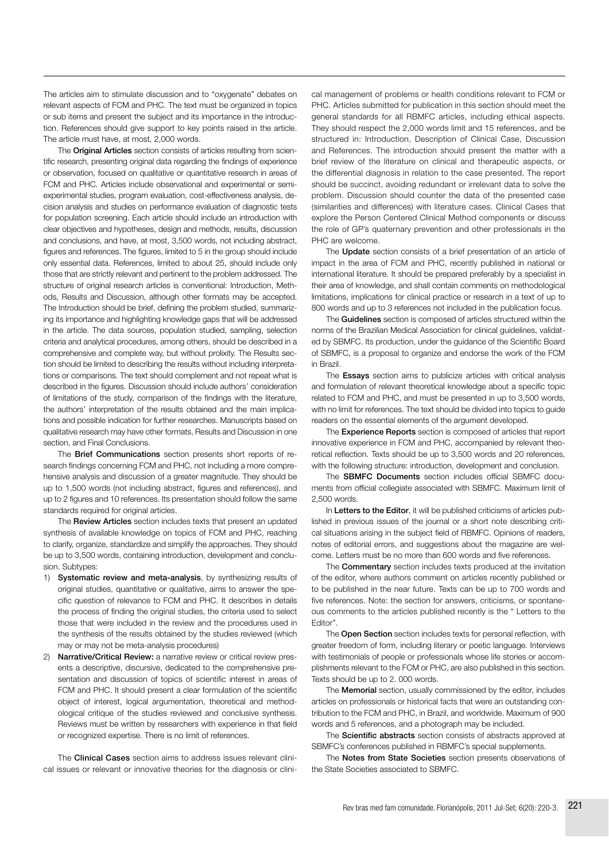The articles aim to stimulate discussion and to "oxygenate" debates on relevant aspects of FCM and PHC. The text must be organized in topics or sub items and present the subject and its importance in the introduction. References should give support to key points raised in the article. The article must have, at most, 2,000 words.

The **Original Articles** section consists of articles resulting from scientific research, presenting original data regarding the findings of experience or observation, focused on qualitative or quantitative research in areas of FCM and PHC. Articles include observational and experimental or semiexperimental studies, program evaluation, cost-effectiveness analysis, decision analysis and studies on performance evaluation of diagnostic tests for population screening. Each article should include an introduction with clear objectives and hypotheses, design and methods, results, discussion and conclusions, and have, at most, 3,500 words, not including abstract, figures and references. The figures, limited to 5 in the group should include only essential data. References, limited to about 25, should include only those that are strictly relevant and pertinent to the problem addressed. The structure of original research articles is conventional: Introduction, Methods, Results and Discussion, although other formats may be accepted. The Introduction should be brief, defining the problem studied, summarizing its importance and highlighting knowledge gaps that will be addressed in the article. The data sources, population studied, sampling, selection criteria and analytical procedures, among others, should be described in a comprehensive and complete way, but without prolixity. The Results section should be limited to describing the results without including interpretations or comparisons. The text should complement and not repeat what is described in the figures. Discussion should include authors' consideration of limitations of the study, comparison of the findings with the literature, the authors' interpretation of the results obtained and the main implications and possible indication for further researches. Manuscripts based on qualitative research may have other formats, Results and Discussion in one section, and Final Conclusions.

The **Brief Communications** section presents short reports of research findings concerning FCM and PHC, not including a more comprehensive analysis and discussion of a greater magnitude. They should be up to 1,500 words (not including abstract, figures and references), and up to 2 figures and 10 references. Its presentation should follow the same standards required for original articles.

The **Review Articles** section includes texts that present an updated synthesis of available knowledge on topics of FCM and PHC, reaching to clarify, organize, standardize and simplify the approaches. They should be up to 3,500 words, containing introduction, development and conclusion. Subtypes:

- 1) **Systematic review and meta-analysis**, by synthesizing results of original studies, quantitative or qualitative, aims to answer the specific question of relevance to FCM and PHC. It describes in details the process of finding the original studies, the criteria used to select those that were included in the review and the procedures used in the synthesis of the results obtained by the studies reviewed (which may or may not be meta-analysis procedures)
- 2) **Narrative/Critical Review:** a narrative review or critical review presents a descriptive, discursive, dedicated to the comprehensive presentation and discussion of topics of scientific interest in areas of FCM and PHC. It should present a clear formulation of the scientific object of interest, logical argumentation, theoretical and methodological critique of the studies reviewed and conclusive synthesis. Reviews must be written by researchers with experience in that field or recognized expertise. There is no limit of references.

The **Clinical Cases** section aims to address issues relevant clinical issues or relevant or innovative theories for the diagnosis or clinical management of problems or health conditions relevant to FCM or PHC. Articles submitted for publication in this section should meet the general standards for all RBMFC articles, including ethical aspects. They should respect the 2,000 words limit and 15 references, and be structured in: Introduction, Description of Clinical Case, Discussion and References. The introduction should present the matter with a brief review of the literature on clinical and therapeutic aspects, or the differential diagnosis in relation to the case presented. The report should be succinct, avoiding redundant or irrelevant data to solve the problem. Discussion should counter the data of the presented case (similarities and differences) with literature cases. Clinical Cases that explore the Person Centered Clinical Method components or discuss the role of GP's quaternary prevention and other professionals in the PHC are welcome.

The **Update** section consists of a brief presentation of an article of impact in the area of FCM and PHC, recently published in national or international literature. It should be prepared preferably by a specialist in their area of knowledge, and shall contain comments on methodological limitations, implications for clinical practice or research in a text of up to 800 words and up to 3 references not included in the publication focus.

The **Guidelines** section is composed of articles structured within the norms of the Brazilian Medical Association for clinical guidelines, validated by SBMFC. Its production, under the guidance of the Scientific Board of SBMFC, is a proposal to organize and endorse the work of the FCM in Brazil.

The **Essays** section aims to publicize articles with critical analysis and formulation of relevant theoretical knowledge about a specific topic related to FCM and PHC, and must be presented in up to 3,500 words, with no limit for references. The text should be divided into topics to guide readers on the essential elements of the argument developed.

The **Experience Reports** section is composed of articles that report innovative experience in FCM and PHC, accompanied by relevant theoretical reflection. Texts should be up to 3,500 words and 20 references, with the following structure: introduction, development and conclusion.

The **SBMFC Documents** section includes official SBMFC documents from official collegiate associated with SBMFC. Maximum limit of 2,500 words.

In **Letters to the Editor**, it will be published criticisms of articles published in previous issues of the journal or a short note describing critical situations arising in the subject field of RBMFC. Opinions of readers, notes of editorial errors, and suggestions about the magazine are welcome. Letters must be no more than 600 words and five references.

The **Commentary** section includes texts produced at the invitation of the editor, where authors comment on articles recently published or to be published in the near future. Texts can be up to 700 words and five references. Note: the section for answers, criticisms, or spontaneous comments to the articles published recently is the " Letters to the Editor".

The **Open Section** section includes texts for personal reflection, with greater freedom of form, including literary or poetic language. Interviews with testimonials of people or professionals whose life stories or accomplishments relevant to the FCM or PHC, are also published in this section. Texts should be up to 2. 000 words.

The **Memorial** section, usually commissioned by the editor, includes articles on professionals or historical facts that were an outstanding contribution to the FCM and PHC, in Brazil, and worldwide. Maximum of 900 words and 5 references, and a photograph may be included.

The **Scientific abstracts** section consists of abstracts approved at SBMFC's conferences published in RBMFC's special supplements.

The **Notes from State Societies** section presents observations of the State Societies associated to SBMFC.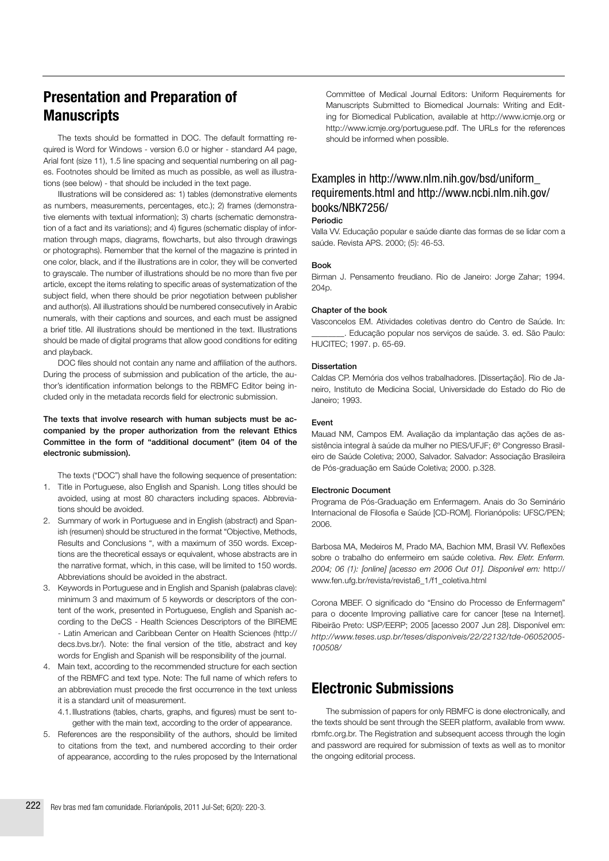# **Presentation and Preparation of Manuscripts**

The texts should be formatted in DOC. The default formatting required is Word for Windows - version 6.0 or higher - standard A4 page, Arial font (size 11), 1.5 line spacing and sequential numbering on all pages. Footnotes should be limited as much as possible, as well as illustrations (see below) - that should be included in the text page.

Illustrations will be considered as: 1) tables (demonstrative elements as numbers, measurements, percentages, etc.); 2) frames (demonstrative elements with textual information); 3) charts (schematic demonstration of a fact and its variations); and 4) figures (schematic display of information through maps, diagrams, flowcharts, but also through drawings or photographs). Remember that the kernel of the magazine is printed in one color, black, and if the illustrations are in color, they will be converted to grayscale. The number of illustrations should be no more than five per article, except the items relating to specific areas of systematization of the subject field, when there should be prior negotiation between publisher and author(s). All illustrations should be numbered consecutively in Arabic numerals, with their captions and sources, and each must be assigned a brief title. All illustrations should be mentioned in the text. Illustrations should be made of digital programs that allow good conditions for editing and playback.

DOC files should not contain any name and affiliation of the authors. During the process of submission and publication of the article, the author's identification information belongs to the RBMFC Editor being included only in the metadata records field for electronic submission.

#### **The texts that involve research with human subjects must be accompanied by the proper authorization from the relevant Ethics Committee in the form of "additional document" (item 04 of the electronic submission).**

The texts ("DOC") shall have the following sequence of presentation:

- 1. Title in Portuguese, also English and Spanish. Long titles should be avoided, using at most 80 characters including spaces. Abbreviations should be avoided.
- 2. Summary of work in Portuguese and in English (abstract) and Spanish (resumen) should be structured in the format "Objective, Methods, Results and Conclusions ", with a maximum of 350 words. Exceptions are the theoretical essays or equivalent, whose abstracts are in the narrative format, which, in this case, will be limited to 150 words. Abbreviations should be avoided in the abstract.
- 3. Keywords in Portuguese and in English and Spanish (palabras clave): minimum 3 and maximum of 5 keywords or descriptors of the content of the work, presented in Portuguese, English and Spanish according to the DeCS - Health Sciences Descriptors of the BIREME - Latin American and Caribbean Center on Health Sciences (http:// decs.bvs.br/). Note: the final version of the title, abstract and key words for English and Spanish will be responsibility of the journal.
- 4. Main text, according to the recommended structure for each section of the RBMFC and text type. Note: The full name of which refers to an abbreviation must precede the first occurrence in the text unless it is a standard unit of measurement.
	- 4.1. Illustrations (tables, charts, graphs, and figures) must be sent together with the main text, according to the order of appearance.
- 5. References are the responsibility of the authors, should be limited to citations from the text, and numbered according to their order of appearance, according to the rules proposed by the International

Committee of Medical Journal Editors: Uniform Requirements for Manuscripts Submitted to Biomedical Journals: Writing and Editing for Biomedical Publication, available at http://www.icmje.org or http://www.icmje.org/portuguese.pdf. The URLs for the references should be informed when possible.

## Examples in http://www.nlm.nih.gov/bsd/uniform\_ requirements.html and http://www.ncbi.nlm.nih.gov/ books/NBK7256/

#### **Periodic**

Valla VV. Educação popular e saúde diante das formas de se lidar com a saúde. Revista APS. 2000; (5): 46-53.

#### **Book**

Birman J. Pensamento freudiano. Rio de Janeiro: Jorge Zahar; 1994. 204p.

#### **Chapter of the book**

Vasconcelos EM. Atividades coletivas dentro do Centro de Saúde. In: . Educação popular nos serviços de saúde. 3. ed. São Paulo: HUCITEC; 1997. p. 65-69.

#### **Dissertation**

Caldas CP. Memória dos velhos trabalhadores. [Dissertação]. Rio de Janeiro, Instituto de Medicina Social, Universidade do Estado do Rio de Janeiro; 1993.

#### **Event**

Mauad NM, Campos EM. Avaliação da implantação das ações de assistência integral à saúde da mulher no PIES/UFJF; 6° Congresso Brasileiro de Saúde Coletiva; 2000, Salvador. Salvador: Associação Brasileira de Pós-graduação em Saúde Coletiva; 2000. p.328.

#### **Electronic Document**

Programa de Pós-Graduação em Enfermagem. Anais do 3o Seminário Internacional de Filosofia e Saúde [CD-ROM]. Florianópolis: UFSC/PEN; 2006.

Barbosa MA, Medeiros M, Prado MA, Bachion MM, Brasil W. Reflexões sobre o trabalho do enfermeiro em saúde coletiva. Rev. Eletr. Enferm. 2004; 06 (1): [online] [acesso em 2006 Out 01]. Disponível em: http:// www.fen.ufg.br/revista/revista6\_1/f1\_coletiva.html

Corona MBEF. O significado do "Ensino do Processo de Enfermagem" para o docente Improving palliative care for cancer [tese na Internet]. Ribeirão Preto: USP/EERP; 2005 [acesso 2007 Jun 28]. Disponível em: http://www.teses.usp.br/teses/disponiveis/22/22132/tde-06052005- 100508/

## **Electronic Submissions**

The submission of papers for only RBMFC is done electronically, and the texts should be sent through the SEER platform, available from www. rbmfc.org.br. The Registration and subsequent access through the login and password are required for submission of texts as well as to monitor the ongoing editorial process.